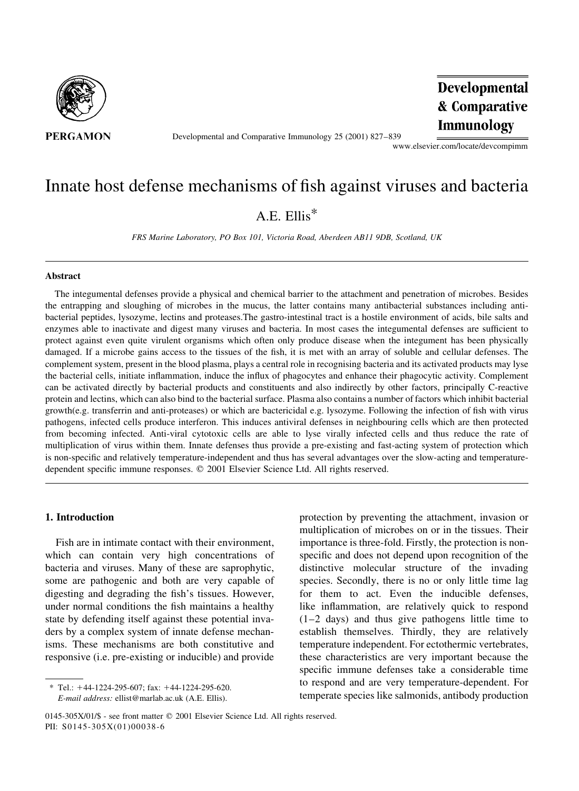

Developmental and Comparative Immunology 25 (2001) 827–839

Developmental & Comparative Immunology

www.elsevier.com/locate/devcompimm

# Innate host defense mechanisms of fish against viruses and bacteria

 $A.E.$  Ellis<sup>\*</sup>

FRS Marine Laboratory, PO Box 101, Victoria Road, Aberdeen AB11 9DB, Scotland, UK

#### Abstract

The integumental defenses provide a physical and chemical barrier to the attachment and penetration of microbes. Besides the entrapping and sloughing of microbes in the mucus, the latter contains many antibacterial substances including antibacterial peptides, lysozyme, lectins and proteases. The gastro-intestinal tract is a hostile environment of acids, bile salts and enzymes able to inactivate and digest many viruses and bacteria. In most cases the integumental defenses are sufficient to protect against even quite virulent organisms which often only produce disease when the integument has been physically damaged. If a microbe gains access to the tissues of the fish, it is met with an array of soluble and cellular defenses. The complement system, present in the blood plasma, plays a central role in recognising bacteria and its activated products may lyse the bacterial cells, initiate inflammation, induce the influx of phagocytes and enhance their phagocytic activity. Complement can be activated directly by bacterial products and constituents and also indirectly by other factors, principally C-reactive protein and lectins, which can also bind to the bacterial surface. Plasma also contains a number of factors which inhibit bacterial growth(e.g. transferrin and anti-proteases) or which are bactericidal e.g. lysozyme. Following the infection of fish with virus pathogens, infected cells produce interferon. This induces antiviral defenses in neighbouring cells which are then protected from becoming infected. Anti-viral cytotoxic cells are able to lyse virally infected cells and thus reduce the rate of multiplication of virus within them. Innate defenses thus provide a pre-existing and fast-acting system of protection which is non-specific and relatively temperature-independent and thus has several advantages over the slow-acting and temperaturedependent specific immune responses. © 2001 Elsevier Science Ltd. All rights reserved.

### 1. Introduction

Fish are in intimate contact with their environment, which can contain very high concentrations of bacteria and viruses. Many of these are saprophytic, some are pathogenic and both are very capable of digesting and degrading the fish's tissues. However, under normal conditions the fish maintains a healthy state by defending itself against these potential invaders by a complex system of innate defense mechanisms. These mechanisms are both constitutive and responsive (i.e. pre-existing or inducible) and provide

protection by preventing the attachment, invasion or multiplication of microbes on or in the tissues. Their importance is three-fold. Firstly, the protection is nonspecific and does not depend upon recognition of the distinctive molecular structure of the invading species. Secondly, there is no or only little time lag for them to act. Even the inducible defenses, like inflammation, are relatively quick to respond  $(1-2$  days) and thus give pathogens little time to establish themselves. Thirdly, they are relatively temperature independent. For ectothermic vertebrates, these characteristics are very important because the specific immune defenses take a considerable time to respond and are very temperature-dependent. For temperate species like salmonids, antibody production

<sup>\*</sup> Tel.:  $+44-1224-295-607$ ; fax:  $+44-1224-295-620$ . E-mail address: ellist@marlab.ac.uk (A.E. Ellis).

<sup>0145-305</sup>X/01/\$ - see front matter © 2001 Elsevier Science Ltd. All rights reserved. PII: S0145-305X(01)00038-6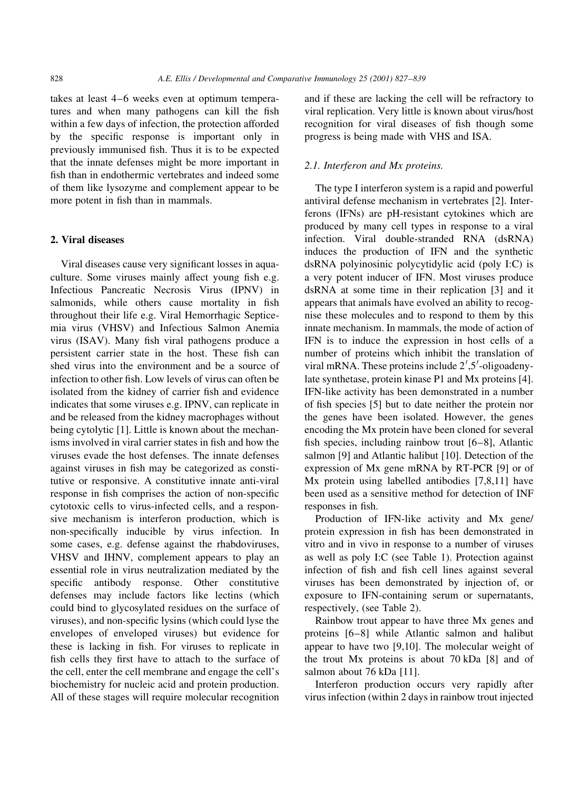takes at least 4–6 weeks even at optimum temperatures and when many pathogens can kill the fish within a few days of infection, the protection afforded by the specific response is important only in previously immunised fish. Thus it is to be expected that the innate defenses might be more important in fish than in endothermic vertebrates and indeed some of them like lysozyme and complement appear to be more potent in fish than in mammals.

## 2. Viral diseases

Viral diseases cause very significant losses in aquaculture. Some viruses mainly affect young fish e.g. Infectious Pancreatic Necrosis Virus (IPNV) in salmonids, while others cause mortality in fish throughout their life e.g. Viral Hemorrhagic Septicemia virus (VHSV) and Infectious Salmon Anemia virus (ISAV). Many fish viral pathogens produce a persistent carrier state in the host. These fish can shed virus into the environment and be a source of infection to other fish. Low levels of virus can often be isolated from the kidney of carrier fish and evidence indicates that some viruses e.g. IPNV, can replicate in and be released from the kidney macrophages without being cytolytic [1]. Little is known about the mechanisms involved in viral carrier states in fish and how the viruses evade the host defenses. The innate defenses against viruses in fish may be categorized as constitutive or responsive. A constitutive innate anti-viral response in fish comprises the action of non-specific cytotoxic cells to virus-infected cells, and a responsive mechanism is interferon production, which is non-specifically inducible by virus infection. In some cases, e.g. defense against the rhabdoviruses, VHSV and IHNV, complement appears to play an essential role in virus neutralization mediated by the specific antibody response. Other constitutive defenses may include factors like lectins (which could bind to glycosylated residues on the surface of viruses), and non-specific lysins (which could lyse the envelopes of enveloped viruses) but evidence for these is lacking in fish. For viruses to replicate in fish cells they first have to attach to the surface of the cell, enter the cell membrane and engage the cell's biochemistry for nucleic acid and protein production. All of these stages will require molecular recognition

and if these are lacking the cell will be refractory to viral replication. Very little is known about virus/host recognition for viral diseases of fish though some progress is being made with VHS and ISA.

#### 2.1. Interferon and Mx proteins.

The type I interferon system is a rapid and powerful antiviral defense mechanism in vertebrates [2]. Interferons (IFNs) are pH-resistant cytokines which are produced by many cell types in response to a viral infection. Viral double-stranded RNA (dsRNA) induces the production of IFN and the synthetic dsRNA polyinosinic polycytidylic acid (poly I:C) is a very potent inducer of IFN. Most viruses produce dsRNA at some time in their replication [3] and it appears that animals have evolved an ability to recognise these molecules and to respond to them by this innate mechanism. In mammals, the mode of action of IFN is to induce the expression in host cells of a number of proteins which inhibit the translation of viral mRNA. These proteins include  $2^{\prime}, 5^{\prime}$ -oligoadenylate synthetase, protein kinase P1 and Mx proteins [4]. IFN-like activity has been demonstrated in a number of fish species [5] but to date neither the protein nor the genes have been isolated. However, the genes encoding the Mx protein have been cloned for several fish species, including rainbow trout  $[6-8]$ , Atlantic salmon [9] and Atlantic halibut [10]. Detection of the expression of Mx gene mRNA by RT-PCR [9] or of Mx protein using labelled antibodies  $[7,8,11]$  have been used as a sensitive method for detection of INF responses in fish.

Production of IFN-like activity and Mx gene/ protein expression in fish has been demonstrated in vitro and in vivo in response to a number of viruses as well as poly I:C (see Table 1). Protection against infection of fish and fish cell lines against several viruses has been demonstrated by injection of, or exposure to IFN-containing serum or supernatants, respectively, (see Table 2).

Rainbow trout appear to have three Mx genes and proteins [6-8] while Atlantic salmon and halibut appear to have two  $[9,10]$ . The molecular weight of the trout Mx proteins is about 70 kDa [8] and of salmon about 76 kDa [11].

Interferon production occurs very rapidly after virus infection (within 2 days in rainbow trout injected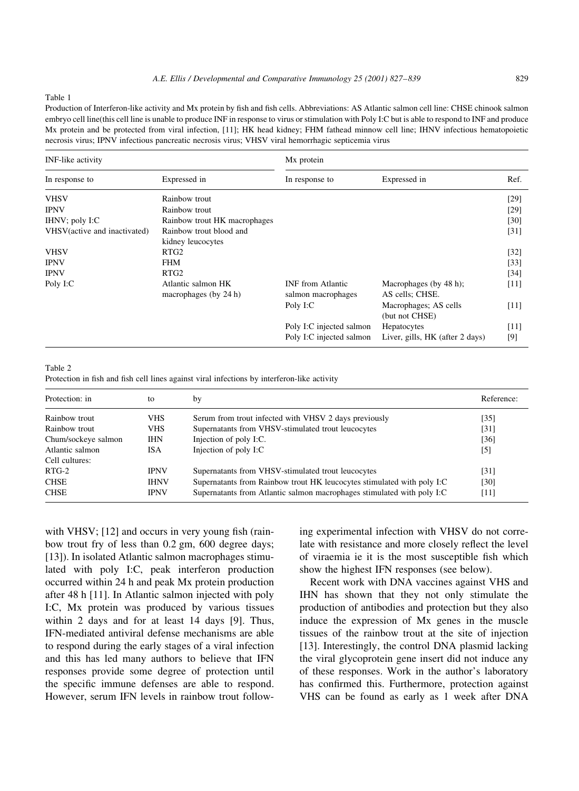#### Table 1

Production of Interferon-like activity and Mx protein by fish and fish cells. Abbreviations: AS Atlantic salmon cell line: CHSE chinook salmon embryo cell line(this cell line is unable to produce INF in response to virus or stimulation with Poly I:C but is able to respond to INF and produce Mx protein and be protected from viral infection, [11]; HK head kidney; FHM fathead minnow cell line; IHNV infectious hematopoietic necrosis virus: IPNV infectious pancreatic necrosis virus: VHSV viral hemorrhagic septicemia virus

| <b>INF-like</b> activity     |                                              | Mx protein                                     |                                           |        |
|------------------------------|----------------------------------------------|------------------------------------------------|-------------------------------------------|--------|
| In response to               | Expressed in                                 | In response to                                 | Expressed in                              | Ref.   |
| <b>VHSV</b>                  | Rainbow trout                                |                                                |                                           | [29]   |
| <b>IPNV</b>                  | Rainbow trout                                |                                                |                                           | [29]   |
| IHNV; poly $I:C$             | Rainbow trout HK macrophages                 |                                                |                                           | [30]   |
| VHSV(active and inactivated) | Rainbow trout blood and<br>kidney leucocytes |                                                |                                           | [31]   |
| <b>VHSV</b>                  | RTG <sub>2</sub>                             |                                                |                                           | $[32]$ |
| <b>IPNV</b>                  | <b>FHM</b>                                   |                                                |                                           | [33]   |
| <b>IPNV</b>                  | RTG <sub>2</sub>                             |                                                |                                           | [34]   |
| Poly I:C                     | Atlantic salmon HK<br>macrophages (by 24 h)  | <b>INF</b> from Atlantic<br>salmon macrophages | Macrophages (by 48 h);<br>AS cells; CHSE. | [11]   |
|                              |                                              | Poly I:C                                       | Macrophages; AS cells<br>(but not CHSE)   | [11]   |
|                              |                                              | Poly I:C injected salmon                       | Hepatocytes                               | [11]   |
|                              |                                              | Poly I:C injected salmon                       | Liver, gills, HK (after 2 days)           | [9]    |

#### Table 2

Protection in fish and fish cell lines against viral infections by interferon-like activity

| Protection: in      | to          | by                                                                     | Reference: |
|---------------------|-------------|------------------------------------------------------------------------|------------|
| Rainbow trout       | VHS.        | Serum from trout infected with VHSV 2 days previously                  | $[35]$     |
| Rainbow trout       | <b>VHS</b>  | Supernatants from VHSV-stimulated trout leucocytes                     | [31]       |
| Chum/sockeye salmon | <b>IHN</b>  | Injection of poly I:C.                                                 | $[36]$     |
| Atlantic salmon     | ISA         | Injection of poly I:C                                                  | $[5]$      |
| Cell cultures:      |             |                                                                        |            |
| $RTG-2$             | <b>IPNV</b> | Supernatants from VHSV-stimulated trout leucocytes                     | [31]       |
| <b>CHSE</b>         | <b>IHNV</b> | Supernatants from Rainbow trout HK leucocytes stimulated with poly I:C | [30]       |
| <b>CHSE</b>         | <b>IPNV</b> | Supernatants from Atlantic salmon macrophages stimulated with poly I:C | [11]       |

with VHSV; [12] and occurs in very young fish (rainbow trout fry of less than 0.2 gm, 600 degree days; [13]). In isolated Atlantic salmon macrophages stimulated with poly I:C, peak interferon production occurred within 24 h and peak Mx protein production after 48 h [11]. In Atlantic salmon injected with poly I:C, Mx protein was produced by various tissues within 2 days and for at least 14 days [9]. Thus, IFN-mediated antiviral defense mechanisms are able to respond during the early stages of a viral infection and this has led many authors to believe that IFN responses provide some degree of protection until the specific immune defenses are able to respond. However, serum IFN levels in rainbow trout following experimental infection with VHSV do not correlate with resistance and more closely reflect the level of viraemia ie it is the most susceptible fish which show the highest IFN responses (see below).

Recent work with DNA vaccines against VHS and IHN has shown that they not only stimulate the production of antibodies and protection but they also induce the expression of Mx genes in the muscle tissues of the rainbow trout at the site of injection [13]. Interestingly, the control DNA plasmid lacking the viral glycoprotein gene insert did not induce any of these responses. Work in the author's laboratory has confirmed this. Furthermore, protection against VHS can be found as early as 1 week after DNA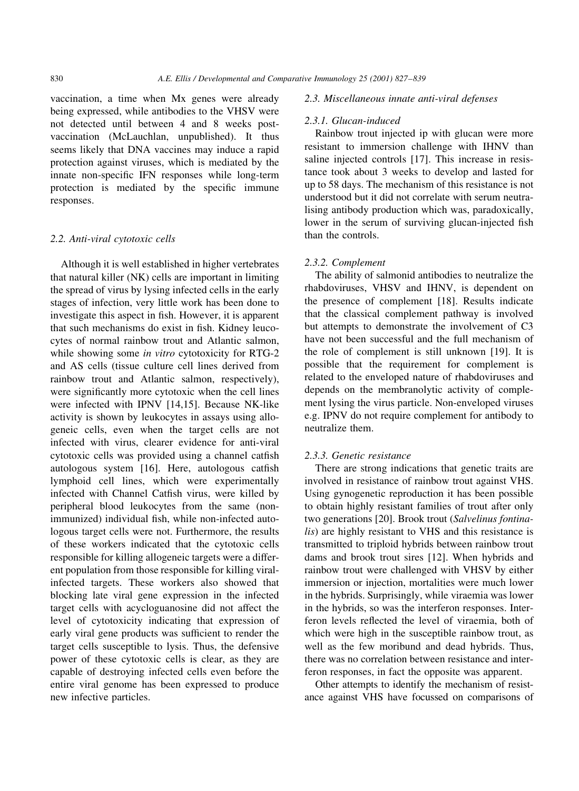vaccination, a time when Mx genes were already being expressed, while antibodies to the VHSV were not detected until between 4 and 8 weeks postvaccination (McLauchlan, unpublished). It thus seems likely that DNA vaccines may induce a rapid protection against viruses, which is mediated by the innate non-specific IFN responses while long-term protection is mediated by the specific immune responses.

## 2.2. Anti-viral cytotoxic cells

Although it is well established in higher vertebrates that natural killer (NK) cells are important in limiting the spread of virus by lysing infected cells in the early stages of infection, very little work has been done to investigate this aspect in fish. However, it is apparent that such mechanisms do exist in fish. Kidney leucocytes of normal rainbow trout and Atlantic salmon. while showing some in vitro cytotoxicity for RTG-2 and AS cells (tissue culture cell lines derived from rainbow trout and Atlantic salmon, respectively), were significantly more cytotoxic when the cell lines were infected with IPNV [14,15]. Because NK-like activity is shown by leukocytes in assays using allogeneic cells, even when the target cells are not infected with virus, clearer evidence for anti-viral cytotoxic cells was provided using a channel catfish autologous system [16]. Here, autologous catfish lymphoid cell lines, which were experimentally infected with Channel Catfish virus, were killed by peripheral blood leukocytes from the same (nonimmunized) individual fish, while non-infected autologous target cells were not. Furthermore, the results of these workers indicated that the cytotoxic cells responsible for killing allogeneic targets were a different population from those responsible for killing viralinfected targets. These workers also showed that blocking late viral gene expression in the infected target cells with acycloguanosine did not affect the level of cytotoxicity indicating that expression of early viral gene products was sufficient to render the target cells susceptible to lysis. Thus, the defensive power of these cytotoxic cells is clear, as they are capable of destroying infected cells even before the entire viral genome has been expressed to produce new infective particles.

## 2.3. Miscellaneous innate anti-viral defenses

## 2.3.1. Glucan-induced

Rainbow trout injected ip with glucan were more resistant to immersion challenge with IHNV than saline injected controls [17]. This increase in resistance took about 3 weeks to develop and lasted for up to 58 days. The mechanism of this resistance is not understood but it did not correlate with serum neutralising antibody production which was, paradoxically, lower in the serum of surviving glucan-injected fish than the controls

#### 2.3.2. Complement

The ability of salmonid antibodies to neutralize the rhabdoviruses, VHSV and IHNV, is dependent on the presence of complement [18]. Results indicate that the classical complement pathway is involved but attempts to demonstrate the involvement of C3 have not been successful and the full mechanism of the role of complement is still unknown [19]. It is possible that the requirement for complement is related to the enveloped nature of rhabdoviruses and depends on the membranolytic activity of complement lysing the virus particle. Non-enveloped viruses e.g. IPNV do not require complement for antibody to neutralize them.

## 2.3.3. Genetic resistance

There are strong indications that genetic traits are involved in resistance of rainbow trout against VHS. Using gynogenetic reproduction it has been possible to obtain highly resistant families of trout after only two generations [20]. Brook trout (Salvelinus fontinalis) are highly resistant to VHS and this resistance is transmitted to triploid hybrids between rainbow trout dams and brook trout sires [12]. When hybrids and rainbow trout were challenged with VHSV by either immersion or injection, mortalities were much lower in the hybrids. Surprisingly, while viraemia was lower in the hybrids, so was the interferon responses. Interferon levels reflected the level of viraemia, both of which were high in the susceptible rainbow trout, as well as the few moribund and dead hybrids. Thus, there was no correlation between resistance and interferon responses, in fact the opposite was apparent.

Other attempts to identify the mechanism of resistance against VHS have focussed on comparisons of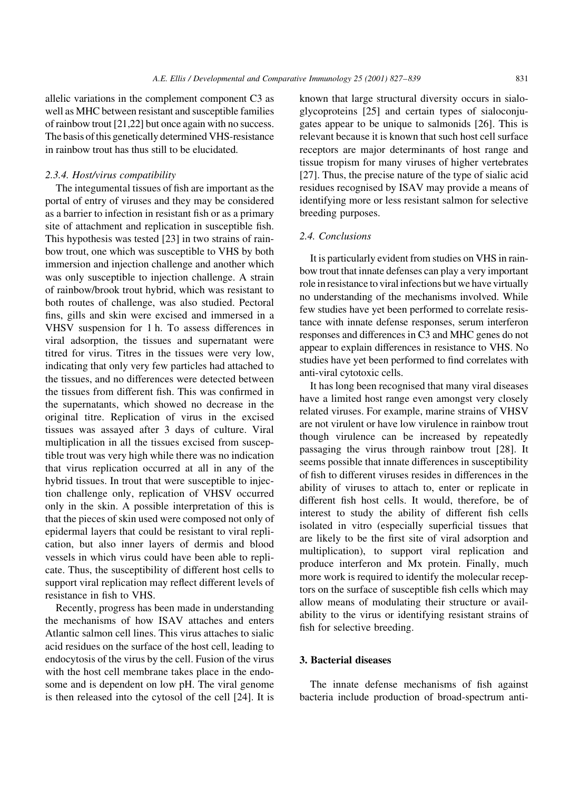allelic variations in the complement component C3 as well as MHC between resistant and susceptible families of rainbow trout [21,22] but once again with no success. The basis of this genetically determined VHS-resistance in rainbow trout has thus still to be elucidated.

## 2.3.4. Host/virus compatibility

The integumental tissues of fish are important as the portal of entry of viruses and they may be considered as a barrier to infection in resistant fish or as a primary site of attachment and replication in susceptible fish. This hypothesis was tested [23] in two strains of rainbow trout, one which was susceptible to VHS by both immersion and injection challenge and another which was only susceptible to injection challenge. A strain of rainbow/brook trout hybrid, which was resistant to both routes of challenge, was also studied. Pectoral fins, gills and skin were excised and immersed in a VHSV suspension for 1 h. To assess differences in viral adsorption, the tissues and supernatant were titred for virus. Titres in the tissues were very low, indicating that only very few particles had attached to the tissues, and no differences were detected between the tissues from different fish. This was confirmed in the supernatants, which showed no decrease in the original titre. Replication of virus in the excised tissues was assayed after 3 days of culture. Viral multiplication in all the tissues excised from susceptible trout was very high while there was no indication that virus replication occurred at all in any of the hybrid tissues. In trout that were susceptible to injection challenge only, replication of VHSV occurred only in the skin. A possible interpretation of this is that the pieces of skin used were composed not only of epidermal layers that could be resistant to viral replication, but also inner layers of dermis and blood vessels in which virus could have been able to replicate. Thus, the susceptibility of different host cells to support viral replication may reflect different levels of resistance in fish to VHS.

Recently, progress has been made in understanding the mechanisms of how ISAV attaches and enters Atlantic salmon cell lines. This virus attaches to sialic acid residues on the surface of the host cell, leading to endocytosis of the virus by the cell. Fusion of the virus with the host cell membrane takes place in the endosome and is dependent on low pH. The viral genome is then released into the cytosol of the cell [24]. It is known that large structural diversity occurs in sialoglycoproteins [25] and certain types of sialoconjugates appear to be unique to salmonids [26]. This is relevant because it is known that such host cell surface receptors are major determinants of host range and tissue tropism for many viruses of higher vertebrates [27]. Thus, the precise nature of the type of sialic acid residues recognised by ISAV may provide a means of identifying more or less resistant salmon for selective breeding purposes.

# 2.4. Conclusions

It is particularly evident from studies on VHS in rainbow trout that innate defenses can play a very important role in resistance to viral infections but we have virtually no understanding of the mechanisms involved. While few studies have yet been performed to correlate resistance with innate defense responses, serum interferon responses and differences in C3 and MHC genes do not appear to explain differences in resistance to VHS. No studies have yet been performed to find correlates with anti-viral cytotoxic cells.

It has long been recognised that many viral diseases have a limited host range even amongst very closely related viruses. For example, marine strains of VHSV are not virulent or have low virulence in rainbow trout though virulence can be increased by repeatedly passaging the virus through rainbow trout [28]. It seems possible that innate differences in susceptibility of fish to different viruses resides in differences in the ability of viruses to attach to, enter or replicate in different fish host cells. It would, therefore, be of interest to study the ability of different fish cells isolated in vitro (especially superficial tissues that are likely to be the first site of viral adsorption and multiplication), to support viral replication and produce interferon and Mx protein. Finally, much more work is required to identify the molecular receptors on the surface of susceptible fish cells which may allow means of modulating their structure or availability to the virus or identifying resistant strains of fish for selective breeding.

## 3. Bacterial diseases

The innate defense mechanisms of fish against bacteria include production of broad-spectrum anti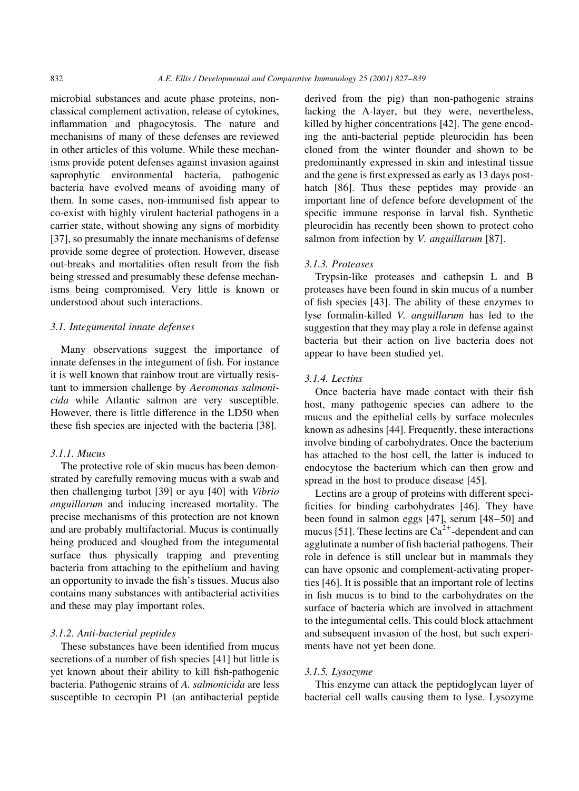microbial substances and acute phase proteins, nonclassical complement activation, release of cytokines, inflammation and phagocytosis. The nature and mechanisms of many of these defenses are reviewed in other articles of this volume. While these mechanisms provide potent defenses against invasion against saprophytic environmental bacteria, pathogenic bacteria have evolved means of avoiding many of them. In some cases, non-immunised fish appear to co-exist with highly virulent bacterial pathogens in a carrier state, without showing any signs of morbidity [37], so presumably the innate mechanisms of defense provide some degree of protection. However, disease out-breaks and mortalities often result from the fish being stressed and presumably these defense mechanisms being compromised. Very little is known or understood about such interactions.

## 3.1. Integumental innate defenses

Many observations suggest the importance of innate defenses in the integument of fish. For instance it is well known that rainbow trout are virtually resistant to immersion challenge by Aeromonas salmonicida while Atlantic salmon are very susceptible. However, there is little difference in the LD50 when these fish species are injected with the bacteria [38].

#### 3.1.1. Mucus

The protective role of skin mucus has been demonstrated by carefully removing mucus with a swab and then challenging turbot [39] or ayu [40] with Vibrio anguillarum and inducing increased mortality. The precise mechanisms of this protection are not known and are probably multifactorial. Mucus is continually being produced and sloughed from the integumental surface thus physically trapping and preventing bacteria from attaching to the epithelium and having an opportunity to invade the fish's tissues. Mucus also contains many substances with antibacterial activities and these may play important roles.

#### 3.1.2. Anti-bacterial peptides

These substances have been identified from mucus secretions of a number of fish species [41] but little is yet known about their ability to kill fish-pathogenic bacteria. Pathogenic strains of A. salmonicida are less susceptible to cecropin P1 (an antibacterial peptide derived from the pig) than non-pathogenic strains lacking the A-layer, but they were, nevertheless, killed by higher concentrations [42]. The gene encoding the anti-bacterial peptide pleurocidin has been cloned from the winter flounder and shown to be predominantly expressed in skin and intestinal tissue and the gene is first expressed as early as 13 days posthatch [86]. Thus these peptides may provide an important line of defence before development of the specific immune response in larval fish. Synthetic pleurocidin has recently been shown to protect coho salmon from infection by *V. anguillarum* [87].

## 3.1.3. Proteases

Trypsin-like proteases and cathepsin L and B proteases have been found in skin mucus of a number of fish species [43]. The ability of these enzymes to lyse formalin-killed V. anguillarum has led to the suggestion that they may play a role in defense against bacteria but their action on live bacteria does not appear to have been studied yet.

#### 3.1.4. Lectins

Once bacteria have made contact with their fish host, many pathogenic species can adhere to the mucus and the epithelial cells by surface molecules known as adhesins [44]. Frequently, these interactions involve binding of carbohydrates. Once the bacterium has attached to the host cell, the latter is induced to endocytose the bacterium which can then grow and spread in the host to produce disease [45].

Lectins are a group of proteins with different specificities for binding carbohydrates [46]. They have been found in salmon eggs [47], serum [48–50] and mucus [51]. These lectins are  $Ca^{2+}$ -dependent and can agglutinate a number of fish bacterial pathogens. Their role in defence is still unclear but in mammals they can have opsonic and complement-activating properties [46]. It is possible that an important role of lectins in fish mucus is to bind to the carbohydrates on the surface of bacteria which are involved in attachment to the integumental cells. This could block attachment and subsequent invasion of the host, but such experiments have not yet been done.

## 3.1.5. Lysozyme

This enzyme can attack the peptidoglycan layer of bacterial cell walls causing them to lyse. Lysozyme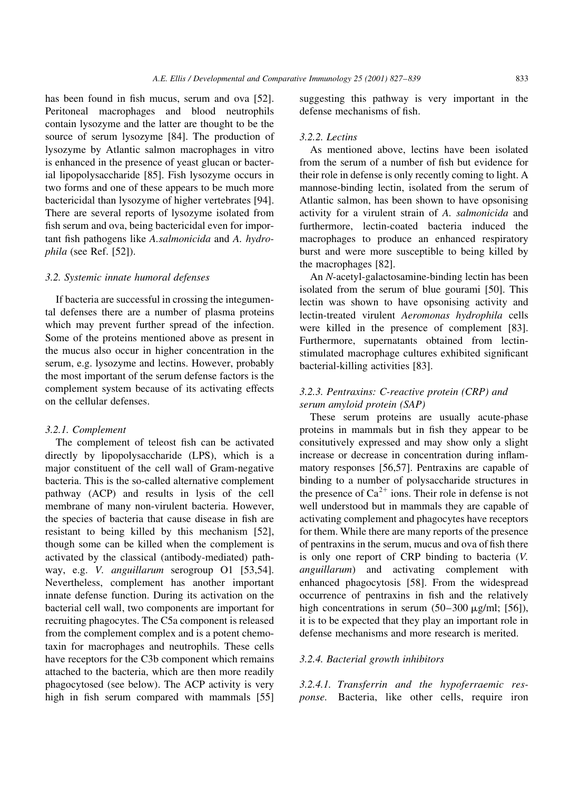has been found in fish mucus, serum and ova [52]. Peritoneal macrophages and blood neutrophils contain lysozyme and the latter are thought to be the source of serum lysozyme [84]. The production of lysozyme by Atlantic salmon macrophages in vitro is enhanced in the presence of yeast glucan or bacterial lipopolysaccharide [85]. Fish lysozyme occurs in two forms and one of these appears to be much more bactericidal than lysozyme of higher vertebrates [94]. There are several reports of lysozyme isolated from fish serum and ova, being bactericidal even for important fish pathogens like A.salmonicida and A. hydrophila (see Ref. [52]).

## 3.2. Systemic innate humoral defenses

If bacteria are successful in crossing the integumental defenses there are a number of plasma proteins which may prevent further spread of the infection. Some of the proteins mentioned above as present in the mucus also occur in higher concentration in the serum, e.g. lysozyme and lectins. However, probably the most important of the serum defense factors is the complement system because of its activating effects on the cellular defenses.

#### 3.2.1. Complement

The complement of teleost fish can be activated directly by lipopolysaccharide (LPS), which is a major constituent of the cell wall of Gram-negative bacteria. This is the so-called alternative complement pathway (ACP) and results in lysis of the cell membrane of many non-virulent bacteria. However, the species of bacteria that cause disease in fish are resistant to being killed by this mechanism [52], though some can be killed when the complement is activated by the classical (antibody-mediated) pathway, e.g. V. anguillarum serogroup O1 [53,54]. Nevertheless, complement has another important innate defense function. During its activation on the bacterial cell wall, two components are important for recruiting phagocytes. The C5a component is released from the complement complex and is a potent chemotaxin for macrophages and neutrophils. These cells have receptors for the C3b component which remains attached to the bacteria, which are then more readily phagocytosed (see below). The ACP activity is very high in fish serum compared with mammals [55] suggesting this pathway is very important in the defense mechanisms of fish.

## 3.2.2. Lectins

As mentioned above, lectins have been isolated from the serum of a number of fish but evidence for their role in defense is only recently coming to light. A mannose-binding lectin, isolated from the serum of Atlantic salmon, has been shown to have opsonising activity for a virulent strain of A. salmonicida and furthermore, lectin-coated bacteria induced the macrophages to produce an enhanced respiratory burst and were more susceptible to being killed by the macrophages [82].

An N-acetyl-galactosamine-binding lectin has been isolated from the serum of blue gourami [50]. This lectin was shown to have opsonising activity and lectin-treated virulent Aeromonas hydrophila cells were killed in the presence of complement [83]. Furthermore, supernatants obtained from lectinstimulated macrophage cultures exhibited significant bacterial-killing activities [83].

# 3.2.3. Pentraxins: C-reactive protein (CRP) and serum amyloid protein (SAP)

These serum proteins are usually acute-phase proteins in mammals but in fish they appear to be consitutively expressed and may show only a slight increase or decrease in concentration during inflammatory responses [56,57]. Pentraxins are capable of binding to a number of polysaccharide structures in the presence of  $Ca^{2+}$  ions. Their role in defense is not well understood but in mammals they are capable of activating complement and phagocytes have receptors for them. While there are many reports of the presence of pentraxins in the serum, mucus and ova of fish there is only one report of CRP binding to bacteria (V. anguillarum) and activating complement with enhanced phagocytosis [58]. From the widespread occurrence of pentraxins in fish and the relatively high concentrations in serum  $(50-300 \text{ µg/ml}; [56])$ , it is to be expected that they play an important role in defense mechanisms and more research is merited.

## 3.2.4. Bacterial growth inhibitors

3.2.4.1. Transferrin and the hypoferraemic response. Bacteria, like other cells, require iron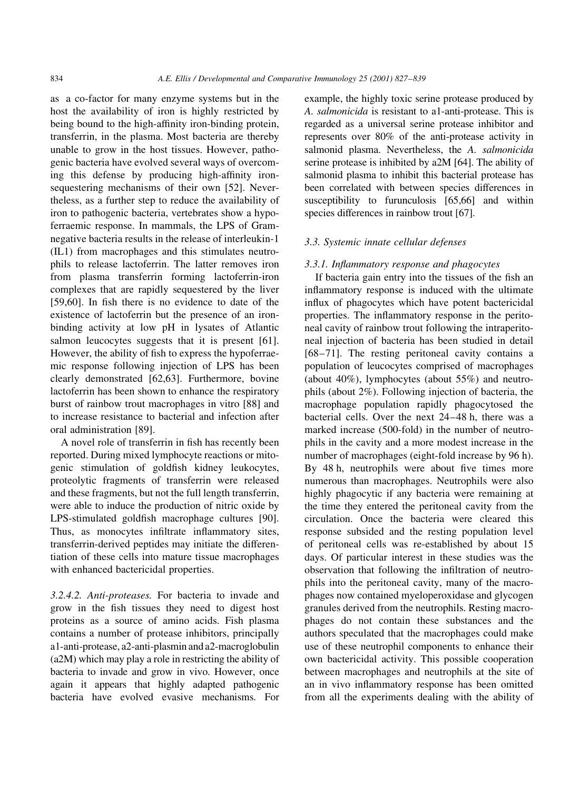as a co-factor for many enzyme systems but in the host the availability of iron is highly restricted by being bound to the high-affinity iron-binding protein, transferrin, in the plasma. Most bacteria are thereby unable to grow in the host tissues. However, pathogenic bacteria have evolved several ways of overcoming this defense by producing high-affinity ironsequestering mechanisms of their own [52]. Nevertheless, as a further step to reduce the availability of iron to pathogenic bacteria, vertebrates show a hypoferraemic response. In mammals, the LPS of Gramnegative bacteria results in the release of interleukin-1 (IL1) from macrophages and this stimulates neutrophils to release lactoferrin. The latter removes iron from plasma transferrin forming lactoferrin-iron complexes that are rapidly sequestered by the liver [59,60]. In fish there is no evidence to date of the existence of lactoferrin but the presence of an ironbinding activity at low pH in lysates of Atlantic salmon leucocytes suggests that it is present [61]. However, the ability of fish to express the hypoferraemic response following injection of LPS has been clearly demonstrated [62,63]. Furthermore, bovine lactoferrin has been shown to enhance the respiratory burst of rainbow trout macrophages in vitro [88] and to increase resistance to bacterial and infection after oral administration [89].

A novel role of transferrin in fish has recently been reported. During mixed lymphocyte reactions or mitogenic stimulation of goldfish kidney leukocytes, proteolytic fragments of transferrin were released and these fragments, but not the full length transferrin, were able to induce the production of nitric oxide by LPS-stimulated goldfish macrophage cultures [90]. Thus, as monocytes infiltrate inflammatory sites, transferrin-derived peptides may initiate the differentiation of these cells into mature tissue macrophages with enhanced bactericidal properties.

3.2.4.2. Anti-proteases. For bacteria to invade and grow in the fish tissues they need to digest host proteins as a source of amino acids. Fish plasma contains a number of protease inhibitors, principally a1-anti-protease, a2-anti-plasmin and a2-macroglobulin  $(a2M)$  which may play a role in restricting the ability of bacteria to invade and grow in vivo. However, once again it appears that highly adapted pathogenic bacteria have evolved evasive mechanisms. For

example, the highly toxic serine protease produced by A. salmonicida is resistant to a1-anti-protease. This is regarded as a universal serine protease inhibitor and represents over 80% of the anti-protease activity in salmonid plasma. Nevertheless, the A. salmonicida serine protease is inhibited by a2M [64]. The ability of salmonid plasma to inhibit this bacterial protease has been correlated with between species differences in susceptibility to furunculosis [65,66] and within species differences in rainbow trout [67].

## 3.3. Systemic innate cellular defenses

## 3.3.1. Inflammatory response and phagocytes

If bacteria gain entry into the tissues of the fish an inflammatory response is induced with the ultimate influx of phagocytes which have potent bactericidal properties. The inflammatory response in the peritoneal cavity of rainbow trout following the intraperitoneal injection of bacteria has been studied in detail [68–71]. The resting peritoneal cavity contains a population of leucocytes comprised of macrophages (about  $40\%$ ), lymphocytes (about  $55\%$ ) and neutrophils (about 2%). Following injection of bacteria, the macrophage population rapidly phagocytosed the bacterial cells. Over the next 24–48 h, there was a marked increase (500-fold) in the number of neutrophils in the cavity and a more modest increase in the number of macrophages (eight-fold increase by 96 h). By 48 h, neutrophils were about five times more numerous than macrophages. Neutrophils were also highly phagocytic if any bacteria were remaining at the time they entered the peritoneal cavity from the circulation. Once the bacteria were cleared this response subsided and the resting population level of peritoneal cells was re-established by about 15 days. Of particular interest in these studies was the observation that following the infiltration of neutrophils into the peritoneal cavity, many of the macrophages now contained myeloperoxidase and glycogen granules derived from the neutrophils. Resting macrophages do not contain these substances and the authors speculated that the macrophages could make use of these neutrophil components to enhance their own bactericidal activity. This possible cooperation between macrophages and neutrophils at the site of an in vivo inflammatory response has been omitted from all the experiments dealing with the ability of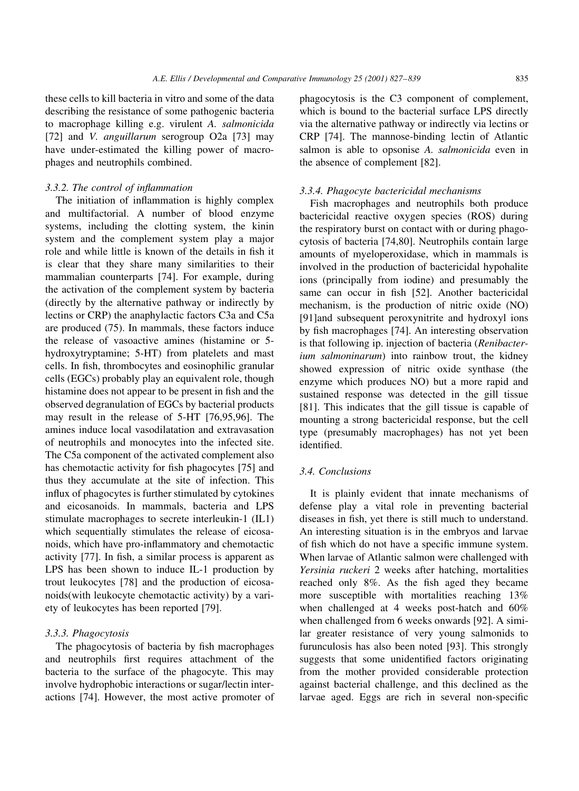these cells to kill bacteria in vitro and some of the data describing the resistance of some pathogenic bacteria to macrophage killing e.g. virulent A. salmonicida [72] and *V. anguillarum* serogroup O2a [73] may have under-estimated the killing power of macrophages and neutrophils combined.

## 3.3.2. The control of inflammation

The initiation of inflammation is highly complex and multifactorial. A number of blood enzyme systems, including the clotting system, the kinin system and the complement system play a major role and while little is known of the details in fish it is clear that they share many similarities to their mammalian counterparts [74]. For example, during the activation of the complement system by bacteria (directly by the alternative pathway or indirectly by lectins or CRP) the anaphylactic factors C3a and C5a are produced (75). In mammals, these factors induce the release of vasoactive amines (histamine or 5hydroxytryptamine; 5-HT) from platelets and mast cells. In fish, thrombocytes and eosinophilic granular cells (EGCs) probably play an equivalent role, though histamine does not appear to be present in fish and the observed degranulation of EGCs by bacterial products may result in the release of 5-HT [76,95,96]. The amines induce local vasodilatation and extravasation of neutrophils and monocytes into the infected site. The C5a component of the activated complement also has chemotactic activity for fish phagocytes [75] and thus they accumulate at the site of infection. This influx of phagocytes is further stimulated by cytokines and eicosanoids. In mammals, bacteria and LPS stimulate macrophages to secrete interleukin-1 (IL1) which sequentially stimulates the release of eicosanoids, which have pro-inflammatory and chemotactic activity [77]. In fish, a similar process is apparent as LPS has been shown to induce IL-1 production by trout leukocytes [78] and the production of eicosanoids(with leukocyte chemotactic activity) by a variety of leukocytes has been reported [79].

## 3.3.3. Phagocytosis

The phagocytosis of bacteria by fish macrophages and neutrophils first requires attachment of the bacteria to the surface of the phagocyte. This may involve hydrophobic interactions or sugar/lectin interactions [74]. However, the most active promoter of phagocytosis is the C3 component of complement, which is bound to the bacterial surface LPS directly via the alternative pathway or indirectly via lectins or CRP [74]. The mannose-binding lectin of Atlantic salmon is able to opsonise A. salmonicida even in the absence of complement [82].

#### 3.3.4. Phagocyte bactericidal mechanisms

Fish macrophages and neutrophils both produce bactericidal reactive oxygen species (ROS) during the respiratory burst on contact with or during phagocytosis of bacteria [74,80]. Neutrophils contain large amounts of myeloperoxidase, which in mammals is involved in the production of bactericidal hypohalite ions (principally from iodine) and presumably the same can occur in fish [52]. Another bactericidal mechanism, is the production of nitric oxide (NO) [91] and subsequent peroxynitrite and hydroxyl ions by fish macrophages [74]. An interesting observation is that following ip. injection of bacteria (Renibacter*ium salmoninarum*) into rainbow trout, the kidney showed expression of nitric oxide synthase (the enzyme which produces NO) but a more rapid and sustained response was detected in the gill tissue [81]. This indicates that the gill tissue is capable of mounting a strong bactericidal response, but the cell type (presumably macrophages) has not yet been identified.

## 3.4. Conclusions

It is plainly evident that innate mechanisms of defense play a vital role in preventing bacterial diseases in fish, yet there is still much to understand. An interesting situation is in the embryos and larvae of fish which do not have a specific immune system. When larvae of Atlantic salmon were challenged with Yersinia ruckeri 2 weeks after hatching, mortalities reached only 8%. As the fish aged they became more susceptible with mortalities reaching 13% when challenged at 4 weeks post-hatch and 60% when challenged from 6 weeks onwards [92]. A similar greater resistance of very young salmonids to furunculosis has also been noted [93]. This strongly suggests that some unidentified factors originating from the mother provided considerable protection against bacterial challenge, and this declined as the larvae aged. Eggs are rich in several non-specific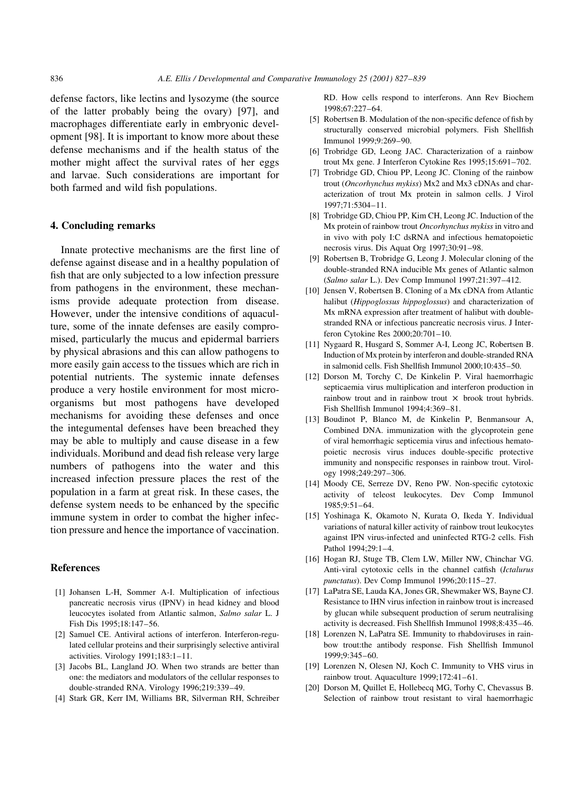defense factors, like lectins and lysozyme (the source of the latter probably being the ovary) [97], and macrophages differentiate early in embryonic development [98]. It is important to know more about these defense mechanisms and if the health status of the mother might affect the survival rates of her eggs and larvae. Such considerations are important for both farmed and wild fish populations.

## 4. Concluding remarks

Innate protective mechanisms are the first line of defense against disease and in a healthy population of fish that are only subjected to a low infection pressure from pathogens in the environment, these mechanisms provide adequate protection from disease. However, under the intensive conditions of aquaculture, some of the innate defenses are easily compromised, particularly the mucus and epidermal barriers by physical abrasions and this can allow pathogens to more easily gain access to the tissues which are rich in potential nutrients. The systemic innate defenses produce a very hostile environment for most microorganisms but most pathogens have developed mechanisms for avoiding these defenses and once the integumental defenses have been breached they may be able to multiply and cause disease in a few individuals. Moribund and dead fish release very large numbers of pathogens into the water and this increased infection pressure places the rest of the population in a farm at great risk. In these cases, the defense system needs to be enhanced by the specific immune system in order to combat the higher infection pressure and hence the importance of vaccination.

## **References**

- [1] Johansen L-H, Sommer A-I. Multiplication of infectious pancreatic necrosis virus (IPNV) in head kidney and blood leucocytes isolated from Atlantic salmon, Salmo salar L. J Fish Dis 1995;18:147-56.
- [2] Samuel CE. Antiviral actions of interferon. Interferon-regulated cellular proteins and their surprisingly selective antiviral activities. Virology 1991;183:1-11.
- [3] Jacobs BL, Langland JO. When two strands are better than one: the mediators and modulators of the cellular responses to double-stranded RNA. Virology 1996;219:339-49.
- [4] Stark GR, Kerr IM, Williams BR, Silverman RH, Schreiber

RD. How cells respond to interferons. Ann Rev Biochem 1998:67:227-64.

- [5] Robertsen B. Modulation of the non-specific defence of fish by structurally conserved microbial polymers. Fish Shellfish Immunol 1999;9:269-90.
- [6] Trobridge GD, Leong JAC. Characterization of a rainbow trout Mx gene. J Interferon Cytokine Res 1995;15:691-702.
- [7] Trobridge GD, Chiou PP, Leong JC. Cloning of the rainbow trout (Oncorhynchus mykiss) Mx2 and Mx3 cDNAs and characterization of trout Mx protein in salmon cells. J Virol 1997;71:5304-11.
- [8] Trobridge GD, Chiou PP, Kim CH, Leong JC. Induction of the Mx protein of rainbow trout Oncorhynchus mykiss in vitro and in vivo with poly I:C dsRNA and infectious hematopoietic necrosis virus. Dis Aquat Org 1997;30:91-98.
- [9] Robertsen B, Trobridge G, Leong J. Molecular cloning of the double-stranded RNA inducible Mx genes of Atlantic salmon (Salmo salar L.). Dev Comp Immunol 1997;21:397-412.
- [10] Jensen V, Robertsen B. Cloning of a Mx cDNA from Atlantic halibut (Hippoglossus hippoglossus) and characterization of Mx mRNA expression after treatment of halibut with doublestranded RNA or infectious pancreatic necrosis virus. J Interferon Cytokine Res 2000;20:701-10.
- [11] Nygaard R, Husgard S, Sommer A-I, Leong JC, Robertsen B. Induction of Mx protein by interferon and double-stranded RNA in salmonid cells. Fish Shellfish Immunol 2000;10:435-50.
- [12] Dorson M, Torchy C, De Kinkelin P. Viral haemorrhagic septicaemia virus multiplication and interferon production in rainbow trout and in rainbow trout  $\times$  brook trout hybrids. Fish Shellfish Immunol 1994;4:369-81.
- [13] Boudinot P, Blanco M, de Kinkelin P, Benmansour A, Combined DNA. immunization with the glycoprotein gene of viral hemorrhagic septicemia virus and infectious hematopoietic necrosis virus induces double-specific protective immunity and nonspecific responses in rainbow trout. Virology 1998;249:297-306.
- [14] Moody CE, Serreze DV, Reno PW. Non-specific cytotoxic activity of teleost leukocytes. Dev Comp Immunol 1985;9:51-64.
- [15] Yoshinaga K, Okamoto N, Kurata O, Ikeda Y. Individual variations of natural killer activity of rainbow trout leukocytes against IPN virus-infected and uninfected RTG-2 cells. Fish Pathol 1994;29:1-4.
- [16] Hogan RJ, Stuge TB, Clem LW, Miller NW, Chinchar VG. Anti-viral cytotoxic cells in the channel catfish (Ictalurus punctatus). Dev Comp Immunol 1996;20:115-27.
- [17] LaPatra SE, Lauda KA, Jones GR, Shewmaker WS, Bayne CJ. Resistance to IHN virus infection in rainbow trout is increased by glucan while subsequent production of serum neutralising activity is decreased. Fish Shellfish Immunol 1998;8:435-46.
- [18] Lorenzen N, LaPatra SE. Immunity to rhabdoviruses in rainbow trout:the antibody response. Fish Shellfish Immunol 1999;9:345-60.
- [19] Lorenzen N, Olesen NJ, Koch C. Immunity to VHS virus in rainbow trout. Aquaculture 1999;172:41-61.
- [20] Dorson M, Quillet E, Hollebecq MG, Torhy C, Chevassus B. Selection of rainbow trout resistant to viral haemorrhagic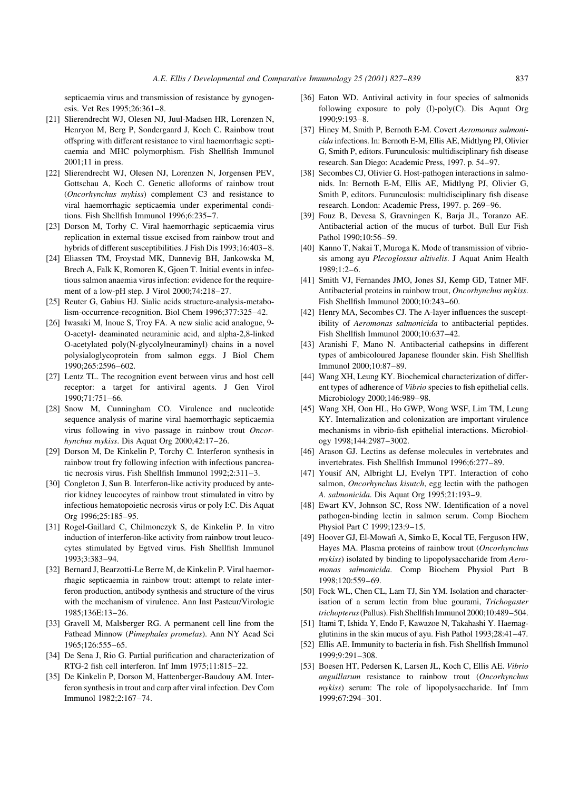septicaemia virus and transmission of resistance by gynogenesis. Vet Res 1995;26:361-8.

- [21] Slierendrecht WJ, Olesen NJ, Juul-Madsen HR, Lorenzen N, Henryon M, Berg P, Sondergaard J, Koch C. Rainbow trout offspring with different resistance to viral haemorrhagic septicaemia and MHC polymorphism. Fish Shellfish Immunol  $2001;11$  in press.
- [22] Slierendrecht WJ, Olesen NJ, Lorenzen N, Jorgensen PEV, Gottschau A, Koch C. Genetic alloforms of rainbow trout (Oncorhynchus mykiss) complement C3 and resistance to viral haemorrhagic septicaemia under experimental conditions. Fish Shellfish Immunol 1996;6:235-7.
- [23] Dorson M, Torhy C. Viral haemorrhagic septicaemia virus replication in external tissue excised from rainbow trout and hybrids of different susceptibilities. J Fish Dis 1993;16:403-8.
- [24] Eliassen TM, Froystad MK, Dannevig BH, Jankowska M, Brech A, Falk K, Romoren K, Gjoen T. Initial events in infectious salmon anaemia virus infection: evidence for the requirement of a low-pH step. J Virol 2000;74:218-27.
- [25] Reuter G, Gabius HJ. Sialic acids structure-analysis-metabolism-occurrence-recognition. Biol Chem 1996;377:325-42.
- [26] Iwasaki M, Inoue S, Troy FA. A new sialic acid analogue, 9-O-acetyl- deaminated neuraminic acid, and alpha-2,8-linked O-acetylated poly(N-glycolylneuraminyl) chains in a novel polysialoglycoprotein from salmon eggs. J Biol Chem 1990;265:2596-602.
- [27] Lentz TL. The recognition event between virus and host cell receptor: a target for antiviral agents. J Gen Virol 1990;71:751-66.
- [28] Snow M, Cunningham CO. Virulence and nucleotide sequence analysis of marine viral haemorrhagic septicaemia virus following in vivo passage in rainbow trout Oncorhynchus mykiss. Dis Aquat Org 2000;42:17-26.
- [29] Dorson M, De Kinkelin P, Torchy C. Interferon synthesis in rainbow trout fry following infection with infectious pancreatic necrosis virus. Fish Shellfish Immunol 1992;2:311-3.
- [30] Congleton J, Sun B. Interferon-like activity produced by anterior kidney leucocytes of rainbow trout stimulated in vitro by infectious hematopoietic necrosis virus or poly I:C. Dis Aquat Org 1996;25:185-95.
- [31] Rogel-Gaillard C, Chilmonczyk S, de Kinkelin P. In vitro induction of interferon-like activity from rainbow trout leucocytes stimulated by Egtved virus. Fish Shellfish Immunol 1993;3:383-94.
- [32] Bernard J, Bearzotti-Le Berre M, de Kinkelin P. Viral haemorrhagic septicaemia in rainbow trout: attempt to relate interferon production, antibody synthesis and structure of the virus with the mechanism of virulence. Ann Inst Pasteur/Virologie 1985;136E:13-26.
- [33] Gravell M, Malsberger RG. A permanent cell line from the Fathead Minnow (Pimephales promelas). Ann NY Acad Sci 1965;126:555-65.
- [34] De Sena J, Rio G. Partial purification and characterization of RTG-2 fish cell interferon. Inf Imm 1975;11:815-22.
- [35] De Kinkelin P, Dorson M, Hattenberger-Baudouy AM. Interferon synthesis in trout and carp after viral infection. Dev Com Immunol 1982;2:167-74.
- [36] Eaton WD. Antiviral activity in four species of salmonids following exposure to poly (I)-poly(C). Dis Aquat Org  $1990.9.193 - 8$
- [37] Hiney M, Smith P, Bernoth E-M. Covert Aeromonas salmonicida infections. In: Bernoth E-M, Ellis AE, Midtlyng PJ, Olivier G, Smith P, editors. Furunculosis: multidisciplinary fish disease research. San Diego: Academic Press, 1997. p. 54-97.
- [38] Secombes CJ, Olivier G. Host-pathogen interactions in salmonids. In: Bernoth E-M, Ellis AE, Midtlyng PJ, Olivier G, Smith P, editors. Furunculosis: multidisciplinary fish disease research. London: Academic Press, 1997. p. 269-96.
- [39] Fouz B, Devesa S, Gravningen K, Barja JL, Toranzo AE. Antibacterial action of the mucus of turbot. Bull Eur Fish Pathol 1990;10:56-59.
- [40] Kanno T, Nakai T, Muroga K. Mode of transmission of vibriosis among ayu Plecoglossus altivelis. J Aquat Anim Health  $1989:1:2-6.$
- [41] Smith VJ, Fernandes JMO, Jones SJ, Kemp GD, Tatner MF. Antibacterial proteins in rainbow trout, Oncorhynchus mykiss. Fish Shellfish Immunol 2000;10:243-60.
- [42] Henry MA, Secombes CJ. The A-layer influences the susceptibility of Aeromonas salmonicida to antibacterial peptides. Fish Shellfish Immunol 2000;10:637-42.
- [43] Aranishi F, Mano N. Antibacterial cathepsins in different types of ambicoloured Japanese flounder skin. Fish Shellfish Immunol 2000;10:87-89.
- [44] Wang XH, Leung KY. Biochemical characterization of different types of adherence of *Vibrio* species to fish epithelial cells. Microbiology 2000;146:989-98.
- [45] Wang XH, Oon HL, Ho GWP, Wong WSF, Lim TM, Leung KY. Internalization and colonization are important virulence mechanisms in vibrio-fish epithelial interactions. Microbiology 1998;144:2987-3002.
- [46] Arason GJ. Lectins as defense molecules in vertebrates and invertebrates. Fish Shellfish Immunol 1996;6:277-89.
- [47] Yousif AN, Albright LJ, Evelyn TPT. Interaction of coho salmon, Oncorhynchus kisutch, egg lectin with the pathogen A. salmonicida. Dis Aquat Org 1995;21:193-9.
- [48] Ewart KV, Johnson SC, Ross NW. Identification of a novel pathogen-binding lectin in salmon serum. Comp Biochem Physiol Part C 1999;123:9-15.
- [49] Hoover GJ, El-Mowafi A, Simko E, Kocal TE, Ferguson HW, Hayes MA. Plasma proteins of rainbow trout (Oncorhynchus mykiss) isolated by binding to lipopolysaccharide from Aeromonas salmonicida. Comp Biochem Physiol Part B 1998;120:559-69.
- [50] Fock WL, Chen CL, Lam TJ, Sin YM. Isolation and characterisation of a serum lectin from blue gourami, Trichogaster trichopterus (Pallus). Fish Shellfish Immunol 2000;10:489-504.
- [51] Itami T, Ishida Y, Endo F, Kawazoe N, Takahashi Y. Haemagglutinins in the skin mucus of ayu. Fish Pathol 1993;28:41-47.
- [52] Ellis AE. Immunity to bacteria in fish. Fish Shellfish Immunol 1999;9:291-308.
- [53] Boesen HT, Pedersen K, Larsen JL, Koch C, Ellis AE. Vibrio anguillarum resistance to rainbow trout (Oncorhynchus mykiss) serum: The role of lipopolysaccharide. Inf Imm 1999;67:294-301.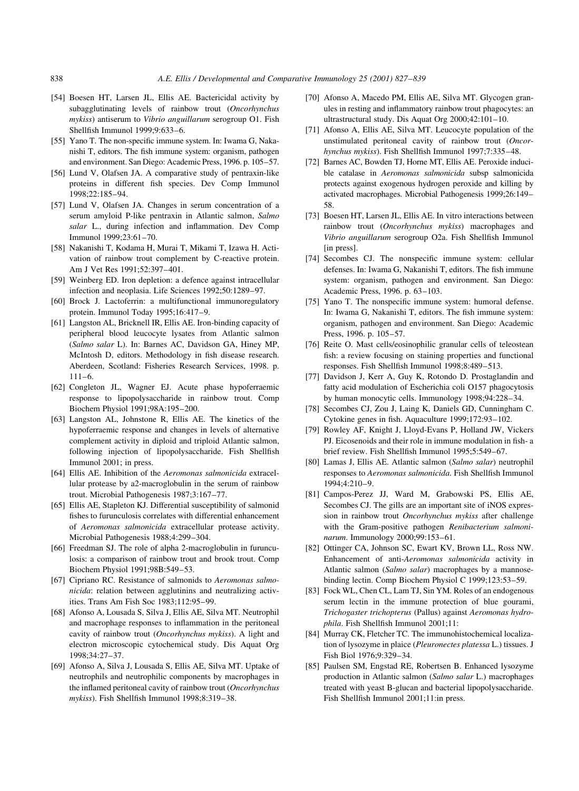- [54] Boesen HT, Larsen JL, Ellis AE. Bactericidal activity by subagglutinating levels of rainbow trout (Oncorhynchus mykiss) antiserum to Vibrio anguillarum serogroup O1. Fish Shellfish Immunol 1999;9:633-6.
- [55] Yano T. The non-specific immune system. In: Iwama G, Nakanishi T, editors. The fish immune system: organism, pathogen and environment. San Diego: Academic Press, 1996. p. 105-57.
- [56] Lund V, Olafsen JA. A comparative study of pentraxin-like proteins in different fish species. Dev Comp Immunol 1998;22:185-94.
- [57] Lund V, Olafsen JA. Changes in serum concentration of a serum amyloid P-like pentraxin in Atlantic salmon, Salmo salar L., during infection and inflammation. Dev Comp Immunol 1999;23:61-70.
- [58] Nakanishi T, Kodama H, Murai T, Mikami T, Izawa H. Activation of rainbow trout complement by C-reactive protein. Am J Vet Res 1991:52:397-401.
- [59] Weinberg ED. Iron depletion: a defence against intracellular infection and neoplasia. Life Sciences 1992;50:1289-97.
- [60] Brock J. Lactoferrin: a multifunctional immunoregulatory protein. Immunol Today 1995;16:417-9.
- [61] Langston AL, Bricknell IR, Ellis AE. Iron-binding capacity of peripheral blood leucocyte lysates from Atlantic salmon (Salmo salar L). In: Barnes AC, Davidson GA, Hiney MP, McIntosh D, editors. Methodology in fish disease research. Aberdeen, Scotland: Fisheries Research Services, 1998. p.  $111 - 6$
- [62] Congleton JL, Wagner EJ. Acute phase hypoferraemic response to lipopolysaccharide in rainbow trout. Comp Biochem Physiol 1991;98A:195-200.
- [63] Langston AL, Johnstone R, Ellis AE. The kinetics of the hypoferraemic response and changes in levels of alternative complement activity in diploid and triploid Atlantic salmon, following injection of lipopolysaccharide. Fish Shellfish Immunol 2001; in press.
- [64] Ellis AE. Inhibition of the Aeromonas salmonicida extracellular protease by a2-macroglobulin in the serum of rainbow trout. Microbial Pathogenesis 1987;3:167-77.
- [65] Ellis AE, Stapleton KJ. Differential susceptibility of salmonid fishes to furunculosis correlates with differential enhancement of Aeromonas salmonicida extracellular protease activity. Microbial Pathogenesis 1988;4:299-304.
- [66] Freedman SJ. The role of alpha 2-macroglobulin in furunculosis: a comparison of rainbow trout and brook trout. Comp Biochem Physiol 1991;98B:549-53.
- [67] Cipriano RC. Resistance of salmonids to Aeromonas salmonicida: relation between agglutinins and neutralizing activities. Trans Am Fish Soc 1983;112:95-99.
- [68] Afonso A, Lousada S, Silva J, Ellis AE, Silva MT. Neutrophil and macrophage responses to inflammation in the peritoneal cavity of rainbow trout (Oncorhynchus mykiss). A light and electron microscopic cytochemical study. Dis Aquat Org 1998;34:27-37.
- [69] Afonso A, Silva J, Lousada S, Ellis AE, Silva MT. Uptake of neutrophils and neutrophilic components by macrophages in the inflamed peritoneal cavity of rainbow trout (Oncorhynchus mykiss). Fish Shellfish Immunol 1998;8:319-38.
- [70] Afonso A, Macedo PM, Ellis AE, Silva MT. Glycogen granules in resting and inflammatory rainbow trout phagocytes: an ultrastructural study. Dis Aquat Org 2000;42:101-10.
- [71] Afonso A, Ellis AE, Silva MT. Leucocyte population of the unstimulated peritoneal cavity of rainbow trout (Oncorhynchus mykiss). Fish Shellfish Immunol 1997;7:335-48.
- [72] Barnes AC, Bowden TJ, Horne MT, Ellis AE. Peroxide inducible catalase in Aeromonas salmonicida subsp salmonicida protects against exogenous hydrogen peroxide and killing by activated macrophages. Microbial Pathogenesis 1999;26:149-58.
- [73] Boesen HT, Larsen JL, Ellis AE. In vitro interactions between rainbow trout (Oncorhynchus mykiss) macrophages and Vibrio anguillarum serogroup O2a. Fish Shellfish Immunol [in press].
- [74] Secombes CJ. The nonspecific immune system: cellular defenses. In: Iwama G, Nakanishi T, editors. The fish immune system: organism, pathogen and environment. San Diego: Academic Press, 1996. p. 63-103.
- [75] Yano T. The nonspecific immune system: humoral defense. In: Iwama G, Nakanishi T, editors. The fish immune system: organism, pathogen and environment. San Diego: Academic Press, 1996. p. 105-57.
- [76] Reite O. Mast cells/eosinophilic granular cells of teleostean fish: a review focusing on staining properties and functional responses. Fish Shellfish Immunol 1998;8:489-513.
- [77] Davidson J, Kerr A, Guy K, Rotondo D. Prostaglandin and fatty acid modulation of Escherichia coli O157 phagocytosis by human monocytic cells. Immunology 1998;94:228-34.
- [78] Secombes CJ, Zou J, Laing K, Daniels GD, Cunningham C. Cytokine genes in fish. Aquaculture 1999;172:93-102.
- [79] Rowley AF, Knight J, Lloyd-Evans P, Holland JW, Vickers PJ. Eicosenoids and their role in immune modulation in fish-a brief review. Fish Shellfish Immunol 1995:5:549-67.
- [80] Lamas J, Ellis AE. Atlantic salmon (Salmo salar) neutrophil responses to Aeromonas salmonicida. Fish Shellfish Immunol 1994;4:210-9.
- [81] Campos-Perez JJ, Ward M, Grabowski PS, Ellis AE, Secombes CJ. The gills are an important site of iNOS expression in rainbow trout Oncorhynchus mykiss after challenge with the Gram-positive pathogen Renibacterium salmoninarum. Immunology 2000;99:153-61.
- [82] Ottinger CA, Johnson SC, Ewart KV, Brown LL, Ross NW. Enhancement of anti-Aeromonas salmonicida activity in Atlantic salmon (Salmo salar) macrophages by a mannosebinding lectin. Comp Biochem Physiol C 1999;123:53-59.
- [83] Fock WL, Chen CL, Lam TJ, Sin YM. Roles of an endogenous serum lectin in the immune protection of blue gourami, Trichogaster trichopterus (Pallus) against Aeromonas hydrophila. Fish Shellfish Immunol 2001;11:
- [84] Murray CK, Fletcher TC. The immunohistochemical localization of lysozyme in plaice (Pleuronectes platessa L.) tissues. J Fish Biol 1976;9:329-34.
- [85] Paulsen SM, Engstad RE, Robertsen B. Enhanced lysozyme production in Atlantic salmon (Salmo salar L.) macrophages treated with yeast B-glucan and bacterial lipopolysaccharide. Fish Shellfish Immunol 2001;11:in press.